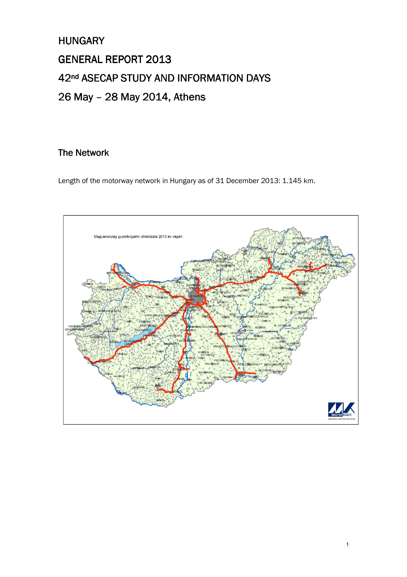# **HUNGARY** GENERAL REPORT 2013 42<sup>nd</sup> ASECAP STUDY AND INFORMATION DAYS 26 May - 28 May 2014, Athens

# The Network

Length of the motorway network in Hungary as of 31 December 2013: 1.145 km.

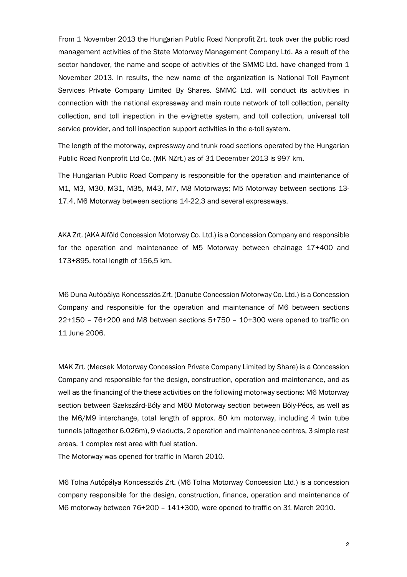From 1 November 2013 the Hungarian Public Road Nonprofit Zrt. took over the public road management activities of the State Motorway Management Company Ltd. As a result of the sector handover, the name and scope of activities of the SMMC Ltd. have changed from 1 November 2013. In results, the new name of the organization is National Toll Payment Services Private Company Limited By Shares. SMMC Ltd. will conduct its activities in connection with the national expressway and main route network of toll collection, penalty collection, and toll inspection in the e-vignette system, and toll collection, universal toll service provider, and toll inspection support activities in the e-toll system.

The length of the motorway, expressway and trunk road sections operated by the Hungarian Public Road Nonprofit Ltd Co. (MK NZrt.) as of 31 December 2013 is 997 km.

The Hungarian Public Road Company is responsible for the operation and maintenance of M1, M3, M30, M31, M35, M43, M7, M8 Motorways; M5 Motorway between sections 13- 17.4, M6 Motorway between sections 14-22,3 and several expressways.

AKA Zrt. (AKA Alföld Concession Motorway Co. Ltd.) is a Concession Company and responsible for the operation and maintenance of M5 Motorway between chainage 17+400 and 173+895, total length of 156,5 km.

M6 Duna Autópálya Koncessziós Zrt. (Danube Concession Motorway Co. Ltd.) is a Concession Company and responsible for the operation and maintenance of M6 between sections 22+150 – 76+200 and M8 between sections 5+750 – 10+300 were opened to traffic on 11 June 2006.

MAK Zrt. (Mecsek Motorway Concession Private Company Limited by Share) is a Concession Company and responsible for the design, construction, operation and maintenance, and as well as the financing of the these activities on the following motorway sections: M6 Motorway section between Szekszárd-Bóly and M60 Motorway section between Bóly-Pécs, as well as the M6/M9 interchange, total length of approx. 80 km motorway, including 4 twin tube tunnels (altogether 6.026m), 9 viaducts, 2 operation and maintenance centres, 3 simple rest areas, 1 complex rest area with fuel station.

The Motorway was opened for traffic in March 2010.

M6 Tolna Autópálya Koncessziós Zrt. (M6 Tolna Motorway Concession Ltd.) is a concession company responsible for the design, construction, finance, operation and maintenance of M6 motorway between 76+200 – 141+300, were opened to traffic on 31 March 2010.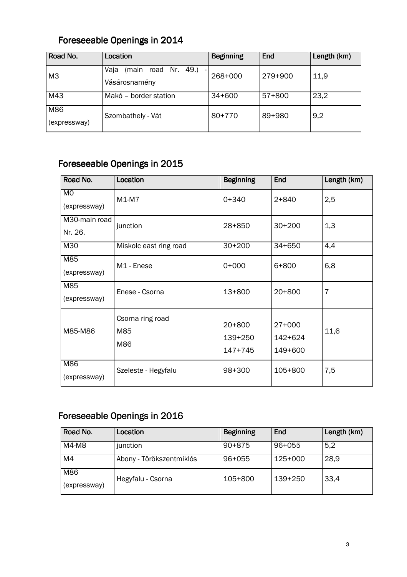# Foreseeable Openings in 2014

| Road No.            | Location                                                                          | <b>Beginning</b> | End     | Length (km) |
|---------------------|-----------------------------------------------------------------------------------|------------------|---------|-------------|
| M <sub>3</sub>      | 49.)<br>Vaja<br>Nr.<br>(main<br>road<br>$\overline{\phantom{0}}$<br>Vásárosnamény | 268+000          | 279+900 | 11,9        |
| M43                 | Makó - border station                                                             | $34 + 600$       | 57+800  | 23,2        |
| M86<br>(expressway) | Szombathely - Vát                                                                 | 80+770           | 89+980  | 9,2         |

# Foreseeable Openings in 2015

| Road No.                       | Location                       | <b>Beginning</b>               | <b>End</b>                     | Length (km)    |
|--------------------------------|--------------------------------|--------------------------------|--------------------------------|----------------|
| M <sub>0</sub><br>(expressway) | $M1-M7$                        | $0+340$                        | $2 + 840$                      | 2,5            |
| M30-main road<br>Nr. 26.       | junction                       | $28 + 850$                     | $30+200$                       | 1,3            |
| M30                            | Miskolc east ring road         | $30+200$                       | $34 + 650$                     | 4,4            |
| M85<br>(expressway)            | M1 - Enese                     | $0+000$                        | 6+800                          | 6,8            |
| M85<br>(expressway)            | Enese - Csorna                 | $13+800$                       | $20+800$                       | $\overline{7}$ |
| M85-M86                        | Csorna ring road<br>M85<br>M86 | $20+800$<br>139+250<br>147+745 | $27+000$<br>142+624<br>149+600 | 11,6           |
| M86<br>(expressway)            | Szeleste - Hegyfalu            | 98+300                         | 105+800                        | 7,5            |

# Foreseeable Openings in 2016

| Road No.            | Location                 | <b>Beginning</b> | End     | Length (km) |
|---------------------|--------------------------|------------------|---------|-------------|
| M4-M8               | junction                 | $90 + 875$       | 96+055  | 5,2         |
| M4                  | Abony - Törökszentmiklós | $96 + 055$       | 125+000 | 28,9        |
| M86<br>(expressway) | Hegyfalu - Csorna        | 105+800          | 139+250 | 33,4        |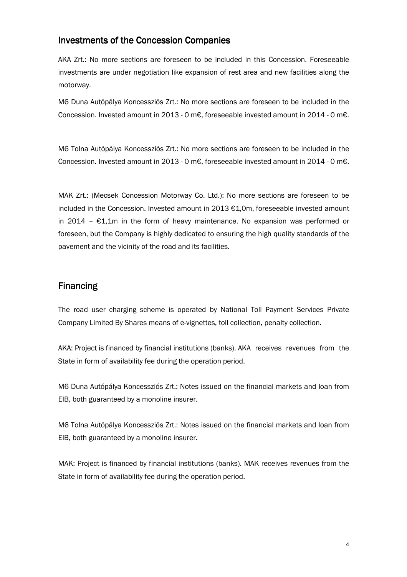#### Investments of the Concession Companies

AKA Zrt.: No more sections are foreseen to be included in this Concession. Foreseeable investments are under negotiation like expansion of rest area and new facilities along the motorway.

M6 Duna Autópálya Koncessziós Zrt.: No more sections are foreseen to be included in the Concession. Invested amount in 2013 - 0 m€, foreseeable invested amount in 2014 - 0 m€.

M6 Tolna Autópálya Koncessziós Zrt.: No more sections are foreseen to be included in the Concession. Invested amount in 2013 - 0 m€, foreseeable invested amount in 2014 - 0 m€.

MAK Zrt.: (Mecsek Concession Motorway Co. Ltd.): No more sections are foreseen to be included in the Concession. Invested amount in 2013 €1,0m, foreseeable invested amount in 2014 –  $E1,1m$  in the form of heavy maintenance. No expansion was performed or foreseen, but the Company is highly dedicated to ensuring the high quality standards of the pavement and the vicinity of the road and its facilities.

### **Financing**

The road user charging scheme is operated by National Toll Payment Services Private Company Limited By Shares means of e-vignettes, toll collection, penalty collection.

AKA: Project is financed by financial institutions (banks). AKA receives revenues from the State in form of availability fee during the operation period.

M6 Duna Autópálya Koncessziós Zrt.: Notes issued on the financial markets and loan from EIB, both guaranteed by a monoline insurer.

M6 Tolna Autópálya Koncessziós Zrt.: Notes issued on the financial markets and loan from EIB, both guaranteed by a monoline insurer.

MAK: Project is financed by financial institutions (banks). MAK receives revenues from the State in form of availability fee during the operation period.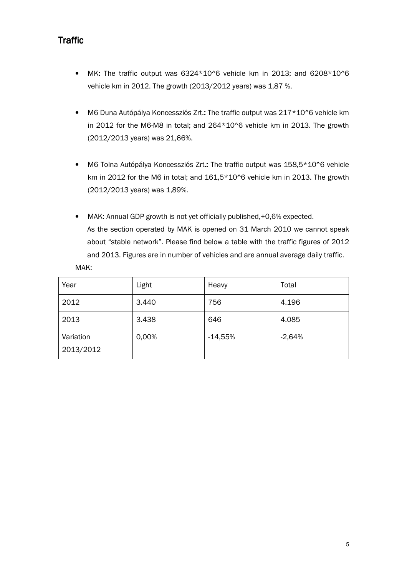## **Traffic**

- MK: The traffic output was 6324\*10^6 vehicle km in 2013; and 6208\*10^6 vehicle km in 2012. The growth (2013/2012 years) was 1,87 %.
- M6 Duna Autópálya Koncessziós Zrt.: The traffic output was 217\*10^6 vehicle km in 2012 for the M6-M8 in total; and 264\*10^6 vehicle km in 2013. The growth (2012/2013 years) was 21,66%.
- M6 Tolna Autópálya Koncessziós Zrt.: The traffic output was 158,5\*10^6 vehicle km in 2012 for the M6 in total; and 161,5\*10^6 vehicle km in 2013. The growth (2012/2013 years) was 1,89%.
- MAK: Annual GDP growth is not yet officially published,+0,6% expected. As the section operated by MAK is opened on 31 March 2010 we cannot speak about "stable network". Please find below a table with the traffic figures of 2012 and 2013. Figures are in number of vehicles and are annual average daily traffic. MAK:

| Year                   | Light | Heavy     | Total    |
|------------------------|-------|-----------|----------|
| 2012                   | 3.440 | 756       | 4.196    |
| 2013                   | 3.438 | 646       | 4.085    |
| Variation<br>2013/2012 | 0,00% | $-14,55%$ | $-2,64%$ |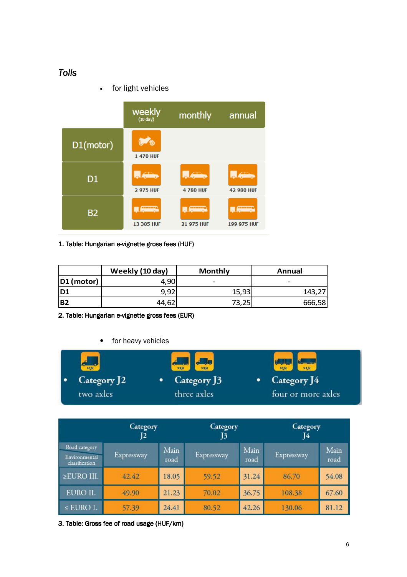### *Tolls*

• for light vehicles



#### 1. Table: Hungarian e-vignette gross fees (HUF)

|                 | Weekly (10 day) | <b>Monthly</b> | Annual |  |
|-----------------|-----------------|----------------|--------|--|
| $ D1$ (motor)   | 4,90            | -              | -      |  |
| ID1             | 9,92            | 15,93          | 143,27 |  |
| IB <sub>2</sub> | 44,62           | 73,25          | 666,58 |  |

2. Table: Hungarian e-vignette gross fees (EUR)

#### for heavy vehicles

| 53.50       | $\begin{picture}(180,10) \put(0,0){\line(1,0){10}} \put(10,0){\line(1,0){10}} \put(10,0){\line(1,0){10}} \put(10,0){\line(1,0){10}} \put(10,0){\line(1,0){10}} \put(10,0){\line(1,0){10}} \put(10,0){\line(1,0){10}} \put(10,0){\line(1,0){10}} \put(10,0){\line(1,0){10}} \put(10,0){\line(1,0){10}} \put(10,0){\line(1,0){10}} \put(10,0){\line($ | $rac{66}{21.5t}$   |
|-------------|-----------------------------------------------------------------------------------------------------------------------------------------------------------------------------------------------------------------------------------------------------------------------------------------------------------------------------------------------------|--------------------|
| Category J2 | Category J3                                                                                                                                                                                                                                                                                                                                         | Category J4        |
| two axles   | three axles                                                                                                                                                                                                                                                                                                                                         | four or more axles |

|                                                  | Category<br>J2 |              | Category<br>J3 |              | Category<br>14             |       |
|--------------------------------------------------|----------------|--------------|----------------|--------------|----------------------------|-------|
| Road category<br>Environmental<br>classification | Expressway     | Main<br>road |                | Main<br>road | Main<br>Expressway<br>road |       |
| $\geq$ EURO III.                                 | 42.42          | 18.05        | 59.52          | 31.24        | 86.70                      | 54.08 |
| EURO II.                                         | 49.90          | 21.23        | 70.02          | 36.75        | 108.38                     | 67.60 |
| $\le$ EURO I.                                    | 57.39          | 24.41        | 80.52          | 42.26        | 130.06                     | 81.12 |

3. Table: Gross fee of road usage (HUF/km)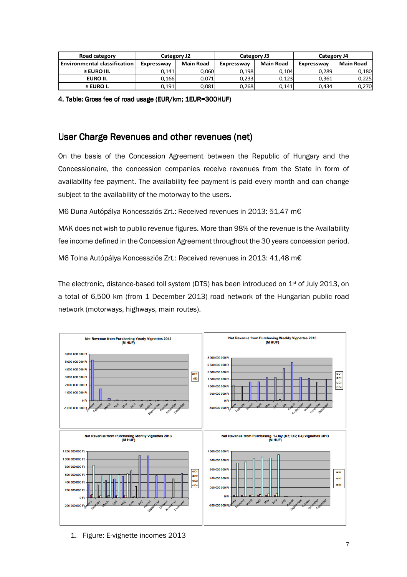| Road category                       | Category J2 |                  |                                | Category J3 | Category J4 |                  |  |
|-------------------------------------|-------------|------------------|--------------------------------|-------------|-------------|------------------|--|
| <b>Environmental classification</b> | Expressway  | <b>Main Road</b> | <b>Main Road</b><br>Expressway |             | Expressway  | <b>Main Road</b> |  |
| $\geq$ EURO III.                    | 0.141       | 0.060            | 0,198                          | 0.104       | 0.289       | 0,180            |  |
| EURO II.                            | 0.166       | 0,071            | 0,233                          | 0.123       | 0.361       | 0.225            |  |
| $\leq$ EURO I.                      | 0.191       | 0.081            | 0,268                          | 0.141       | 0.434       | 0,270            |  |

4. Table: Gross fee of road usage (EUR/km; 1EUR=300HUF)

#### User Charge Revenues and other revenues (net)

On the basis of the Concession Agreement between the Republic of Hungary and the Concessionaire, the concession companies receive revenues from the State in form of availability fee payment. The availability fee payment is paid every month and can change subject to the availability of the motorway to the users.

M6 Duna Autópálya Koncessziós Zrt.: Received revenues in 2013: 51,47 m€

MAK does not wish to public revenue figures. More than 98% of the revenue is the Availability fee income defined in the Concession Agreement throughout the 30 years concession period.

M6 Tolna Autópálya Koncessziós Zrt.: Received revenues in 2013: 41,48 m€

The electronic, distance-based toll system (DTS) has been introduced on 1st of July 2013, on a total of 6,500 km (from 1 December 2013) road network of the Hungarian public road network (motorways, highways, main routes).

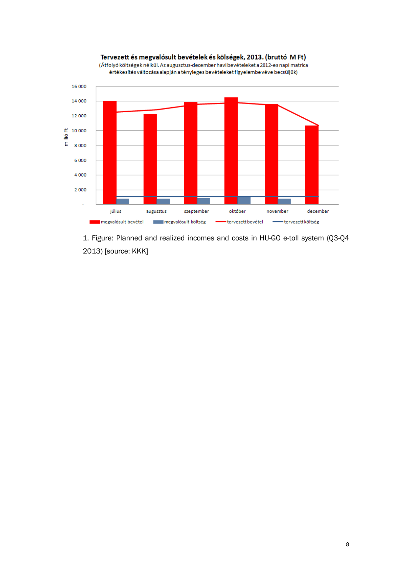

Tervezett és megvalósult bevételek és kölségek, 2013. (bruttó MFt) (Átfolyó költségek nélkül. Az augusztus-december havi bevételeket a 2012-es napi matrica

1. Figure: Planned and realized incomes and costs in HU-GO e-toll system (Q3-Q4 2013) [source: KKK]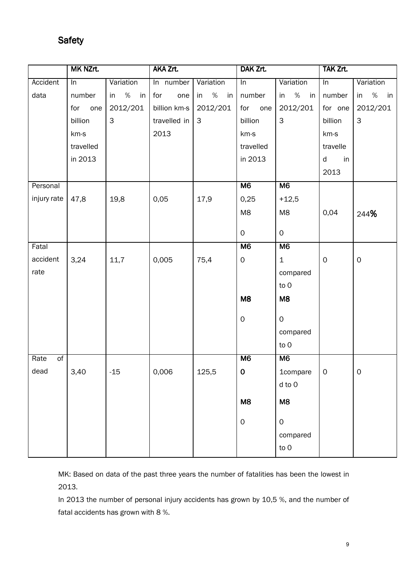## **Safety**

|                         | MK NZrt.         |               | AKA Zrt.     |               | DAK Zrt.            |                | TAK Zrt.            |                     |
|-------------------------|------------------|---------------|--------------|---------------|---------------------|----------------|---------------------|---------------------|
| Accident                | $\overline{\ln}$ | Variation     | In number    | Variation     | $\overline{\ln}$    | Variation      | $\overline{\ln}$    | Variation           |
| data                    | number           | %<br>in<br>in | for<br>one   | %<br>in<br>in | number              | in %<br>in     | number              | %<br>in<br>in       |
|                         | for<br>one       | 2012/201      | billion km-s | 2012/201      | for one             | 2012/201       | for one             | 2012/201            |
|                         | billion          | 3             | travelled in | $\mathbf{3}$  | billion             | 3              | billion             | $\mathsf 3$         |
|                         | km-s             |               | 2013         |               | km-s                |                | km-s                |                     |
|                         | travelled        |               |              |               | travelled           |                | travelle            |                     |
|                         | in 2013          |               |              |               | in 2013             |                | d<br>in             |                     |
|                         |                  |               |              |               |                     |                | 2013                |                     |
| Personal                |                  |               |              |               | M <sub>6</sub>      | M <sub>6</sub> |                     |                     |
| injury rate             | 47,8             | 19,8          | 0,05         | 17,9          | 0,25                | $+12,5$        |                     |                     |
|                         |                  |               |              |               | M8                  | M8             | 0,04                | 244%                |
|                         |                  |               |              |               |                     |                |                     |                     |
|                         |                  |               |              |               | $\mathsf{O}$        | $\mathsf O$    |                     |                     |
| Fatal                   |                  |               |              |               | M6                  | M6             |                     |                     |
| accident                | 3,24             | 11,7          | 0,005        | 75,4          | $\mathsf{O}\xspace$ | $\mathbf 1$    | $\mathsf{O}\xspace$ | $\mathsf{O}\xspace$ |
| rate                    |                  |               |              |               |                     | compared       |                     |                     |
|                         |                  |               |              |               |                     | to 0           |                     |                     |
|                         |                  |               |              |               | M8                  | M <sub>8</sub> |                     |                     |
|                         |                  |               |              |               | $\mathsf O$         | $\mathsf O$    |                     |                     |
|                         |                  |               |              |               |                     | compared       |                     |                     |
|                         |                  |               |              |               |                     | to 0           |                     |                     |
| $\overline{of}$<br>Rate |                  |               |              |               | M6                  | M <sub>6</sub> |                     |                     |
| dead                    | 3,40             | -15           | 0,006        | 125,5         | $\mathbf 0$         | $1$ compare    | O                   | $\sigma$            |
|                         |                  |               |              |               |                     | d to 0         |                     |                     |
|                         |                  |               |              |               |                     |                |                     |                     |
|                         |                  |               |              |               | M <sub>8</sub>      | M <sub>8</sub> |                     |                     |
|                         |                  |               |              |               | $\mathsf{O}$        | $\mathsf{O}$   |                     |                     |
|                         |                  |               |              |               |                     | compared       |                     |                     |
|                         |                  |               |              |               |                     | to 0           |                     |                     |
|                         |                  |               |              |               |                     |                |                     |                     |

MK: Based on data of the past three years the number of fatalities has been the lowest in 2013.

In 2013 the number of personal injury accidents has grown by 10,5 %, and the number of fatal accidents has grown with 8 %.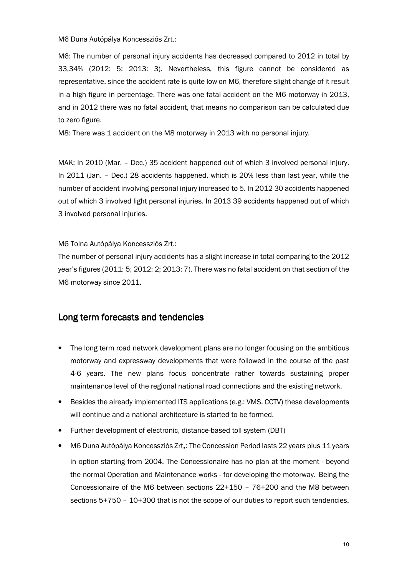M6 Duna Autópálya Koncessziós Zrt.:

M6: The number of personal injury accidents has decreased compared to 2012 in total by 33,34% (2012: 5; 2013: 3). Nevertheless, this figure cannot be considered as representative, since the accident rate is quite low on M6, therefore slight change of it result in a high figure in percentage. There was one fatal accident on the M6 motorway in 2013, and in 2012 there was no fatal accident, that means no comparison can be calculated due to zero figure.

M8: There was 1 accident on the M8 motorway in 2013 with no personal injury.

MAK: In 2010 (Mar. – Dec.) 35 accident happened out of which 3 involved personal injury. In 2011 (Jan. – Dec.) 28 accidents happened, which is 20% less than last year, while the number of accident involving personal injury increased to 5. In 2012 30 accidents happened out of which 3 involved light personal injuries. In 2013 39 accidents happened out of which 3 involved personal injuries.

M6 Tolna Autópálya Koncessziós Zrt.:

The number of personal injury accidents has a slight increase in total comparing to the 2012 year's figures (2011: 5; 2012: 2; 2013: 7). There was no fatal accident on that section of the M6 motorway since 2011.

### Long term forecasts and tendencies

- The long term road network development plans are no longer focusing on the ambitious motorway and expressway developments that were followed in the course of the past 4-6 years. The new plans focus concentrate rather towards sustaining proper maintenance level of the regional national road connections and the existing network.
- Besides the already implemented ITS applications (e.g.: VMS, CCTV) these developments will continue and a national architecture is started to be formed.
- Further development of electronic, distance-based toll system (DBT)
- M6 Duna Autópálya Koncessziós Zrt.: The Concession Period lasts 22 years plus 11 years in option starting from 2004. The Concessionaire has no plan at the moment - beyond the normal Operation and Maintenance works - for developing the motorway. Being the Concessionaire of the M6 between sections 22+150 – 76+200 and the M8 between sections 5+750 – 10+300 that is not the scope of our duties to report such tendencies.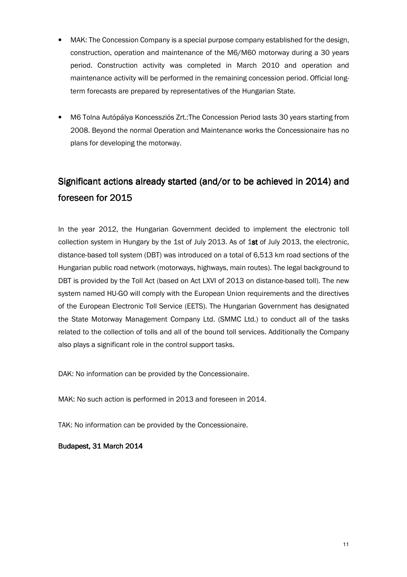- MAK: The Concession Company is a special purpose company established for the design, construction, operation and maintenance of the M6/M60 motorway during a 30 years period. Construction activity was completed in March 2010 and operation and maintenance activity will be performed in the remaining concession period. Official longterm forecasts are prepared by representatives of the Hungarian State.
- M6 Tolna Autópálya Koncessziós Zrt.:The Concession Period lasts 30 years starting from 2008. Beyond the normal Operation and Maintenance works the Concessionaire has no plans for developing the motorway.

# Significant actions already started (and/or to be achieved in 2014) and foreseen for 2015

In the year 2012, the Hungarian Government decided to implement the electronic toll collection system in Hungary by the 1st of July 2013. As of 1st of July 2013, the electronic, distance-based toll system (DBT) was introduced on a total of 6,513 km road sections of the Hungarian public road network (motorways, highways, main routes). The legal background to DBT is provided by the Toll Act (based on Act LXVI of 2013 on distance-based toll). The new system named HU-GO will comply with the European Union requirements and the directives of the European Electronic Toll Service (EETS). The Hungarian Government has designated the State Motorway Management Company Ltd. (SMMC Ltd.) to conduct all of the tasks related to the collection of tolls and all of the bound toll services. Additionally the Company also plays a significant role in the control support tasks.

DAK: No information can be provided by the Concessionaire.

MAK: No such action is performed in 2013 and foreseen in 2014.

TAK: No information can be provided by the Concessionaire.

Budapest, 31 March 2014